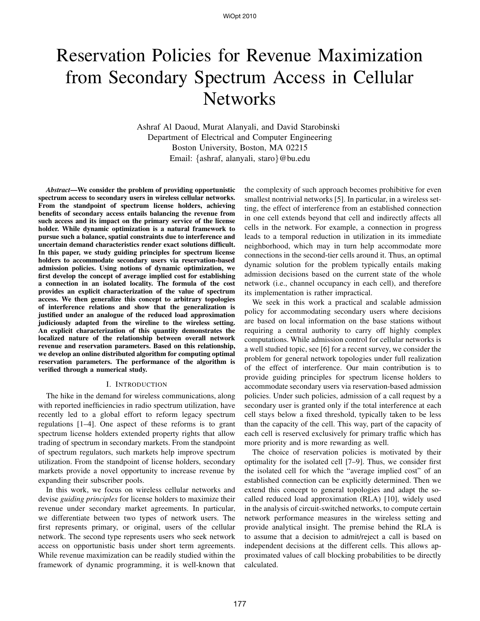# Reservation Policies for Revenue Maximization from Secondary Spectrum Access in Cellular **Networks**

Ashraf Al Daoud, Murat Alanyali, and David Starobinski Department of Electrical and Computer Engineering Boston University, Boston, MA 02215 Email: {ashraf, alanyali, staro}@bu.edu

*Abstract***—We consider the problem of providing opportunistic spectrum access to secondary users in wireless cellular networks. From the standpoint of spectrum license holders, achieving benefits of secondary access entails balancing the revenue from such access and its impact on the primary service of the license holder. While dynamic optimization is a natural framework to pursue such a balance, spatial constraints due to interference and uncertain demand characteristics render exact solutions difficult. In this paper, we study guiding principles for spectrum license holders to accommodate secondary users via reservation-based admission policies. Using notions of dynamic optimization, we first develop the concept of average implied cost for establishing a connection in an isolated locality. The formula of the cost provides an explicit characterization of the value of spectrum access. We then generalize this concept to arbitrary topologies of interference relations and show that the generalization is justified under an analogue of the reduced load approximation judiciously adapted from the wireline to the wireless setting. An explicit characterization of this quantity demonstrates the localized nature of the relationship between overall network revenue and reservation parameters. Based on this relationship, we develop an online distributed algorithm for computing optimal reservation parameters. The performance of the algorithm is verified through a numerical study.**

#### I. INTRODUCTION

The hike in the demand for wireless communications, along with reported inefficiencies in radio spectrum utilization, have recently led to a global effort to reform legacy spectrum regulations [1–4]. One aspect of these reforms is to grant spectrum license holders extended property rights that allow trading of spectrum in secondary markets. From the standpoint of spectrum regulators, such markets help improve spectrum utilization. From the standpoint of license holders, secondary markets provide a novel opportunity to increase revenue by expanding their subscriber pools.

In this work, we focus on wireless cellular networks and devise *guiding principles* for license holders to maximize their revenue under secondary market agreements. In particular, we differentiate between two types of network users. The first represents primary, or original, users of the cellular network. The second type represents users who seek network access on opportunistic basis under short term agreements. While revenue maximization can be readily studied within the framework of dynamic programming, it is well-known that

the complexity of such approach becomes prohibitive for even smallest nontrivial networks [5]. In particular, in a wireless setting, the effect of interference from an established connection in one cell extends beyond that cell and indirectly affects all cells in the network. For example, a connection in progress leads to a temporal reduction in utilization in its immediate neighborhood, which may in turn help accommodate more connections in the second-tier cells around it. Thus, an optimal dynamic solution for the problem typically entails making admission decisions based on the current state of the whole network (i.e., channel occupancy in each cell), and therefore its implementation is rather impractical.

We seek in this work a practical and scalable admission policy for accommodating secondary users where decisions are based on local information on the base stations without requiring a central authority to carry off highly complex computations. While admission control for cellular networks is a well studied topic, see [6] for a recent survey, we consider the problem for general network topologies under full realization of the effect of interference. Our main contribution is to provide guiding principles for spectrum license holders to accommodate secondary users via reservation-based admission policies. Under such policies, admission of a call request by a secondary user is granted only if the total interference at each cell stays below a fixed threshold, typically taken to be less than the capacity of the cell. This way, part of the capacity of each cell is reserved exclusively for primary traffic which has more priority and is more rewarding as well.

The choice of reservation policies is motivated by their optimality for the isolated cell [7–9]. Thus, we consider first the isolated cell for which the "average implied cost" of an established connection can be explicitly determined. Then we extend this concept to general topologies and adapt the socalled reduced load approximation (RLA) [10], widely used in the analysis of circuit-switched networks, to compute certain network performance measures in the wireless setting and provide analytical insight. The premise behind the RLA is to assume that a decision to admit/reject a call is based on independent decisions at the different cells. This allows approximated values of call blocking probabilities to be directly calculated.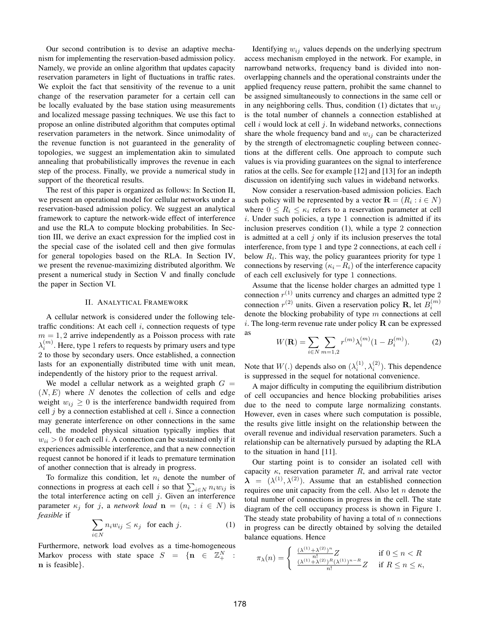Our second contribution is to devise an adaptive mechanism for implementing the reservation-based admission policy. Namely, we provide an online algorithm that updates capacity reservation parameters in light of fluctuations in traffic rates. We exploit the fact that sensitivity of the revenue to a unit change of the reservation parameter for a certain cell can be locally evaluated by the base station using measurements and localized message passing techniques. We use this fact to propose an online distributed algorithm that computes optimal reservation parameters in the network. Since unimodality of the revenue function is not guaranteed in the generality of topologies, we suggest an implementation akin to simulated annealing that probabilistically improves the revenue in each step of the process. Finally, we provide a numerical study in support of the theoretical results.

The rest of this paper is organized as follows: In Section II, we present an operational model for cellular networks under a reservation-based admission policy. We suggest an analytical framework to capture the network-wide effect of interference and use the RLA to compute blocking probabilities. In Section III, we derive an exact expression for the implied cost in the special case of the isolated cell and then give formulas for general topologies based on the RLA. In Section IV, we present the revenue-maximizing distributed algorithm. We present a numerical study in Section V and finally conclude the paper in Section VI.

### II. ANALYTICAL FRAMEWORK

A cellular network is considered under the following teletraffic conditions: At each cell  $i$ , connection requests of type  $m = 1, 2$  arrive independently as a Poisson process with rate  $\lambda_i^{(m)}$ . Here, type 1 refers to requests by primary users and type 2 to those by secondary users. Once established, a connection lasts for an exponentially distributed time with unit mean, independently of the history prior to the request arrival.

We model a cellular network as a weighted graph  $G =$  $(N, E)$  where N denotes the collection of cells and edge weight  $w_{ij} \geq 0$  is the interference bandwidth required from cell  $i$  by a connection established at cell  $i$ . Since a connection may generate interference on other connections in the same cell, the modeled physical situation typically implies that  $w_{ii} > 0$  for each cell i. A connection can be sustained only if it experiences admissible interference, and that a new connection request cannot be honored if it leads to premature termination of another connection that is already in progress.

To formalize this condition, let  $n_i$  denote the number of connections in progress at each cell *i* so that  $\sum_{i \in N} n_i w_{ij}$  is the total interference acting on cell  $j$ . Given an interference parameter  $\kappa_j$  for j, a *network load*  $\mathbf{n} = (n_i : i \in N)$  is *feasible* if

$$
\sum_{i \in N} n_i w_{ij} \le \kappa_j \quad \text{for each } j. \tag{1}
$$

Furthermore, network load evolves as a time-homogeneous Markov process with state space  $S = \{n \in \mathbb{Z}_{+}^N :$ n is feasible}.

Identifying  $w_{ij}$  values depends on the underlying spectrum access mechanism employed in the network. For example, in narrowband networks, frequency band is divided into nonoverlapping channels and the operational constraints under the applied frequency reuse pattern, prohibit the same channel to be assigned simultaneously to connections in the same cell or in any neighboring cells. Thus, condition (1) dictates that  $w_{ij}$ is the total number of channels a connection established at cell  $i$  would lock at cell  $j$ . In wideband networks, connections share the whole frequency band and  $w_{ij}$  can be characterized by the strength of electromagnetic coupling between connections at the different cells. One approach to compute such values is via providing guarantees on the signal to interference ratios at the cells. See for example [12] and [13] for an indepth discussion on identifying such values in wideband networks.

Now consider a reservation-based admission policies. Each such policy will be represented by a vector  $\mathbf{R} = (R_i : i \in N)$ where  $0 \leq R_i \leq \kappa_i$  refers to a reservation parameter at cell i. Under such policies, a type 1 connection is admitted if its inclusion preserves condition (1), while a type 2 connection is admitted at a cell  $j$  only if its inclusion preserves the total interference, from type 1 and type 2 connections, at each cell  $i$ below  $R_i$ . This way, the policy guarantees priority for type 1 connections by reserving ( $\kappa_i-R_i$ ) of the interference capacity of each cell exclusively for type 1 connections.

Assume that the license holder charges an admitted type 1 connection  $r^{(1)}$  units currency and charges an admitted type 2 connection  $r^{(2)}$  units. Given a reservation policy **R**, let  $B_i^{(m)}$ denote the blocking probability of type  $m$  connections at cell i. The long-term revenue rate under policy  $\bf{R}$  can be expressed as

$$
W(\mathbf{R}) = \sum_{i \in N} \sum_{m=1,2} r^{(m)} \lambda_i^{(m)} (1 - B_i^{(m)}).
$$
 (2)

Note that  $W(.)$  depends also on  $(\lambda_i^{(1)}, \lambda_i^{(2)})$ . This dependence is suppressed in the sequel for notational convenience.

A major difficulty in computing the equilibrium distribution of cell occupancies and hence blocking probabilities arises due to the need to compute large normalizing constants. However, even in cases where such computation is possible, the results give little insight on the relationship between the overall revenue and individual reservation parameters. Such a relationship can be alternatively pursued by adapting the RLA to the situation in hand [11].

Our starting point is to consider an isolated cell with capacity  $\kappa$ , reservation parameter R, and arrival rate vector  $\lambda = (\lambda^{(1)}, \lambda^{(2)})$ . Assume that an established connection requires one unit capacity from the cell. Also let  $n$  denote the total number of connections in progress in the cell. The state diagram of the cell occupancy process is shown in Figure 1. The steady state probability of having a total of  $n$  connections in progress can be directly obtained by solving the detailed balance equations. Hence

$$
\pi_{\lambda}(n) = \begin{cases} \frac{(\lambda^{(1)} + \lambda^{(2)})^n}{n!} Z & \text{if } 0 \le n < R\\ \frac{(\lambda^{(1)} + \lambda^{(2)})^R (\lambda^{(1)})^{n-R}}{n!} Z & \text{if } R \le n \le \kappa, \end{cases}
$$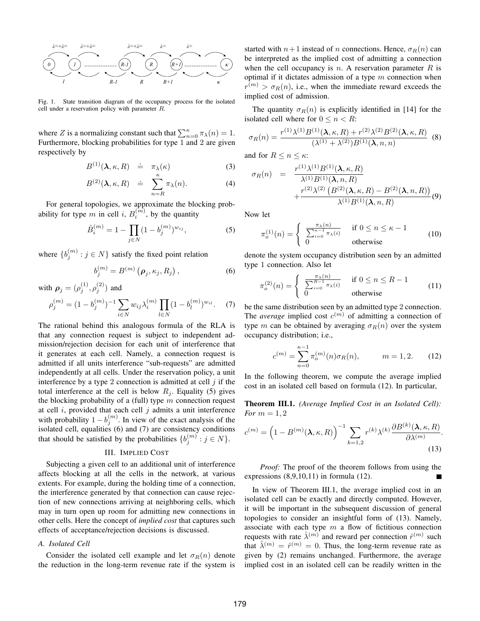

Fig. 1. State transition diagram of the occupancy process for the isolated cell under a reservation policy with parameter R.

where Z is a normalizing constant such that  $\sum_{n=0}^{\kappa} \pi_{\lambda}(n) = 1$ . Furthermore, blocking probabilities for type 1 and 2 are given respectively by

$$
B^{(1)}(\lambda,\kappa,R) \doteq \pi_{\lambda}(\kappa) \tag{3}
$$

$$
B^{(2)}(\lambda, \kappa, R) \doteq \sum_{n=R}^{\kappa} \pi_{\lambda}(n). \tag{4}
$$

For general topologies, we approximate the blocking probability for type m in cell i,  $B_i^{(m)}$ , by the quantity

$$
\hat{B}_i^{(m)} = 1 - \prod_{j \in N} (1 - b_j^{(m)})^{w_{ij}},\tag{5}
$$

where  $\{b_j^{(m)} : j \in N\}$  satisfy the fixed point relation

$$
b_j^{(m)} = B^{(m)}\left(\boldsymbol{\rho}_j, \kappa_j, R_j\right),\tag{6}
$$

with  $\rho_j = (\rho_j^{(1)}, \rho_j^{(2)})$  and

$$
\rho_j^{(m)} = (1 - b_j^{(m)})^{-1} \sum_{i \in N} w_{ij} \lambda_i^{(m)} \prod_{l \in N} (1 - b_l^{(m)})^{w_{il}}.
$$
 (7)

The rational behind this analogous formula of the RLA is that any connection request is subject to independent admission/rejection decision for each unit of interference that it generates at each cell. Namely, a connection request is admitted if all units interference "sub-requests" are admitted independently at all cells. Under the reservation policy, a unit interference by a type 2 connection is admitted at cell  $j$  if the total interference at the cell is below  $R_j$ . Equality (5) gives the blocking probability of a (full) type  $m$  connection request at cell  $i$ , provided that each cell  $j$  admits a unit interference with probability  $1 - b_j^{(m)}$ . In view of the exact analysis of the isolated cell, equalities (6) and (7) are consistency conditions that should be satisfied by the probabilities  $\{b_j^{(m)} : j \in N\}$ .

# III. IMPLIED COST

Subjecting a given cell to an additional unit of interference affects blocking at all the cells in the network, at various extents. For example, during the holding time of a connection, the interference generated by that connection can cause rejection of new connections arriving at neighboring cells, which may in turn open up room for admitting new connections in other cells. Here the concept of *implied cost* that captures such effects of acceptance/rejection decisions is discussed.

#### *A. Isolated Cell*

Consider the isolated cell example and let  $\sigma_R(n)$  denote the reduction in the long-term revenue rate if the system is started with  $n+1$  instead of n connections. Hence,  $\sigma_R(n)$  can be interpreted as the implied cost of admitting a connection when the cell occupancy is n. A reservation parameter  $R$  is optimal if it dictates admission of a type  $m$  connection when  $r^{(m)} > \sigma_R(n)$ , i.e., when the immediate reward exceeds the implied cost of admission.

The quantity  $\sigma_R(n)$  is explicitly identified in [14] for the isolated cell where for  $0 \le n \le R$ :

$$
\sigma_R(n) = \frac{r^{(1)}\lambda^{(1)}B^{(1)}(\lambda,\kappa,R) + r^{(2)}\lambda^{(2)}B^{(2)}(\lambda,\kappa,R)}{(\lambda^{(1)}+\lambda^{(2)})B^{(1)}(\lambda,n,n)} \tag{8}
$$

and for  $R \le n \le \kappa$ :

$$
\sigma_R(n) = \frac{r^{(1)}\lambda^{(1)}B^{(1)}(\lambda,\kappa,R)}{\lambda^{(1)}B^{(1)}(\lambda,n,R)} + \frac{r^{(2)}\lambda^{(2)}\left(B^{(2)}(\lambda,\kappa,R) - B^{(2)}(\lambda,n,R)\right)}{\lambda^{(1)}B^{(1)}(\lambda,n,R)}(9)
$$

Now let

$$
\pi_o^{(1)}(n) = \begin{cases} \frac{\pi_\lambda(n)}{\sum_{i=0}^{\kappa-1} \pi_\lambda(i)} & \text{if } 0 \le n \le \kappa - 1 \\ 0 & \text{otherwise} \end{cases}
$$
(10)

denote the system occupancy distribution seen by an admitted type 1 connection. Also let

$$
\pi_o^{(2)}(n) = \begin{cases} \frac{\pi_\lambda(n)}{\sum_{i=0}^{R-1} \pi_\lambda(i)} & \text{if } 0 \le n \le R-1\\ 0 & \text{otherwise} \end{cases}
$$
(11)

be the same distribution seen by an admitted type 2 connection. The *average* implied cost  $c^{(m)}$  of admitting a connection of type m can be obtained by averaging  $\sigma_R(n)$  over the system occupancy distribution; i.e.,

$$
c^{(m)} = \sum_{n=0}^{\kappa - 1} \pi_o^{(m)}(n) \sigma_R(n), \qquad m = 1, 2. \tag{12}
$$

In the following theorem, we compute the average implied cost in an isolated cell based on formula (12). In particular,

**Theorem III.1.** *(Average Implied Cost in an Isolated Cell): For*  $m = 1, 2$ 

$$
c^{(m)} = \left(1 - B^{(m)}(\lambda, \kappa, R)\right)^{-1} \sum_{k=1,2} r^{(k)} \lambda^{(k)} \frac{\partial B^{(k)}(\lambda, \kappa, R)}{\partial \lambda^{(m)}}.
$$
\n(13)

*Proof:* The proof of the theorem follows from using the expressions (8,9,10,11) in formula (12).

In view of Theorem III.1, the average implied cost in an isolated cell can be exactly and directly computed. However, it will be important in the subsequent discussion of general topologies to consider an insightful form of (13). Namely, associate with each type  $m$  a flow of fictitious connection requests with rate  $\hat{\lambda}^{(m)}$  and reward per connection  $\hat{r}^{(m)}$  such that  $\hat{\lambda}^{(m)} = \hat{r}^{(m)} = 0$ . Thus, the long-term revenue rate as given by (2) remains unchanged. Furthermore, the average implied cost in an isolated cell can be readily written in the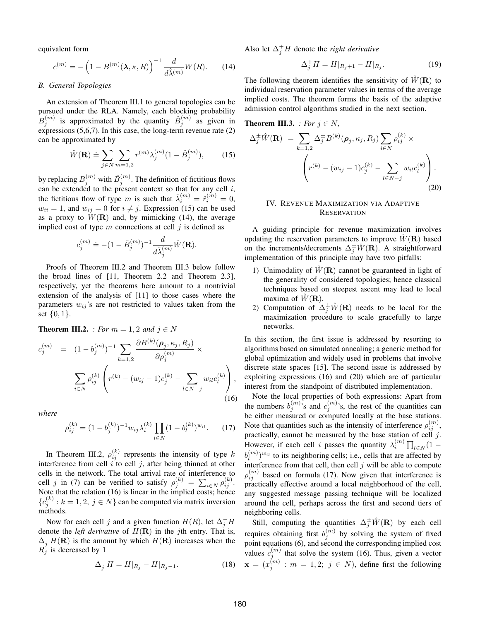equivalent form

$$
c^{(m)} = -\left(1 - B^{(m)}(\lambda, \kappa, R)\right)^{-1} \frac{d}{d\hat{\lambda}^{(m)}} W(R). \tag{14}
$$

### *B. General Topologies*

An extension of Theorem III.1 to general topologies can be pursued under the RLA. Namely, each blocking probability  $B_j^{(m)}$  is approximated by the quantity  $\hat{B}_j^{(m)}$  as given in expressions  $(5,6,7)$ . In this case, the long-term revenue rate  $(2)$ can be approximated by

$$
\hat{W}(\mathbf{R}) \doteq \sum_{j \in N} \sum_{m=1,2} r^{(m)} \lambda_j^{(m)} (1 - \hat{B}_j^{(m)}), \quad (15)
$$

by replacing  $B_j^{(m)}$  with  $\hat{B}_j^{(m)}.$  The definition of fictitious flows can be extended to the present context so that for any cell  $i$ , the fictitious flow of type m is such that  $\hat{\lambda}_i^{(m)} = \hat{r}_i^{(m)} = 0$ ,  $w_{ii} = 1$ , and  $w_{ii} = 0$  for  $i \neq j$ . Expression (15) can be used as a proxy to  $W(\mathbf{R})$  and, by mimicking (14), the average implied cost of type  $m$  connections at cell  $j$  is defined as

$$
c_j^{(m)}\doteq -(1-\hat B_j^{(m)})^{-1}\frac{d}{d\hat\lambda_j^{(m)}}\hat W(\mathbf R).
$$

Proofs of Theorem III.2 and Theorem III.3 below follow the broad lines of [11, Theorem 2.2 and Theorem 2.3], respectively, yet the theorems here amount to a nontrivial extension of the analysis of [11] to those cases where the parameters  $w_{ij}$ 's are not restricted to values taken from the set  $\{0, 1\}.$ 

**Theorem III.2.** *: For*  $m = 1, 2$  *and*  $j \in N$ 

$$
c_j^{(m)} = (1 - b_j^{(m)})^{-1} \sum_{k=1,2} \frac{\partial B^{(k)}(\rho_j, \kappa_j, R_j)}{\partial \rho_j^{(m)}} \times \sum_{i \in N} \rho_{ij}^{(k)} \left( r^{(k)} - (w_{ij} - 1)c_j^{(k)} - \sum_{l \in N-j} w_{il}c_l^{(k)} \right),
$$
\n(16)

*where*

$$
\rho_{ij}^{(k)} = (1 - b_j^{(k)})^{-1} w_{ij} \lambda_i^{(k)} \prod_{l \in N} (1 - b_l^{(k)})^{w_{il}}.
$$
 (17)

In Theorem III.2,  $\rho_{ij}^{(k)}$  represents the intensity of type k interference from cell  $i$  to cell  $j$ , after being thinned at other cells in the network. The total arrival rate of interference to cell j in (7) can be verified to satisfy  $\rho_j^{(k)} = \sum_{i \in N} \rho_{ij}^{(k)}$ . Note that the relation (16) is linear in the implied costs; hence  ${c_j^{(k)}: k = 1, 2, j \in N}$  can be computed via matrix inversion methods.

Now for each cell j and a given function  $H(R)$ , let  $\Delta_j^- H$ denote the *left derivative* of  $H(\mathbf{R})$  in the *j*th entry. That is,  $\Delta_j^- H(\mathbf{R})$  is the amount by which  $H(\mathbf{R})$  increases when the  $R_j$  is decreased by 1

$$
\Delta_j^- H = H|_{R_j} - H|_{R_j - 1}.\tag{18}
$$

Also let  $\Delta_j^+ H$  denote the *right derivative* 

$$
\Delta_j^+ H = H|_{R_j+1} - H|_{R_j}.\tag{19}
$$

The following theorem identifies the sensitivity of  $\hat{W}(\mathbf{R})$  to individual reservation parameter values in terms of the average implied costs. The theorem forms the basis of the adaptive admission control algorithms studied in the next section.

**Theorem III.3.** : For 
$$
j \in N
$$
,  
\n
$$
\Delta_j^{\pm} \hat{W}(\mathbf{R}) = \sum_{k=1,2} \Delta_j^{\pm} B^{(k)}(\rho_j, \kappa_j, R_j) \sum_{i \in N} \rho_{ij}^{(k)} \times
$$
\n
$$
\left(r^{(k)} - (w_{ij} - 1)c_j^{(k)} - \sum_{l \in N-j} w_{il} c_l^{(k)}\right).
$$
\n(20)

## IV. REVENUE MAXIMIZATION VIA ADAPTIVE **RESERVATION**

A guiding principle for revenue maximization involves updating the reservation parameters to improve  $W(\mathbf{R})$  based on the increments/decrements  $\Delta_j^{\pm} \hat{W}(\mathbf{R})$ . A straightforward implementation of this principle may have two pitfalls:

- 1) Unimodality of  $\hat{W}(\mathbf{R})$  cannot be guaranteed in light of the generality of considered topologies; hence classical techniques based on steepest ascent may lead to local maxima of  $\hat{W}(\mathbf{R})$ .
- 2) Computation of  $\Delta_j^{\pm} \hat{W}(\mathbf{R})$  needs to be local for the maximization procedure to scale gracefully to large networks.

In this section, the first issue is addressed by resorting to algorithms based on simulated annealing; a generic method for global optimization and widely used in problems that involve discrete state spaces [15]. The second issue is addressed by exploiting expressions (16) and (20) which are of particular interest from the standpoint of distributed implementation.

Note the local properties of both expressions: Apart from the numbers  $b_j^{(m)}$ , s and  $c_j^{(m)}$ , s, the rest of the quantities can be either measured or computed locally at the base stations. Note that quantities such as the intensity of interference  $\rho_{ij}^{(m)}$ , practically, cannot be measured by the base station of cell  $j$ . However, if each cell *i* passes the quantity  $\lambda_i^{(m)} \prod_{l \in N} (1$  $b_l^{(m)}$  $\binom{m}{l}$ <sup>*w<sub>il</sub>*</sup> to its neighboring cells; i.e., cells that are affected by interference from that cell, then cell  $j$  will be able to compute  $\rho_{ij}^{(m)}$  based on formula (17). Now given that interference is practically effective around a local neighborhood of the cell, any suggested message passing technique will be localized around the cell, perhaps across the first and second tiers of neighboring cells.

Still, computing the quantities  $\Delta_j^{\pm} \hat{W}(\mathbf{R})$  by each cell requires obtaining first  $b_j^{(m)}$  by solving the system of fixed point equations (6), and second the corresponding implied cost values  $c_j^{(m)}$  that solve the system (16). Thus, given a vector  $\mathbf{x} = (x_j^{(m)} : m = 1, 2; j \in N)$ , define first the following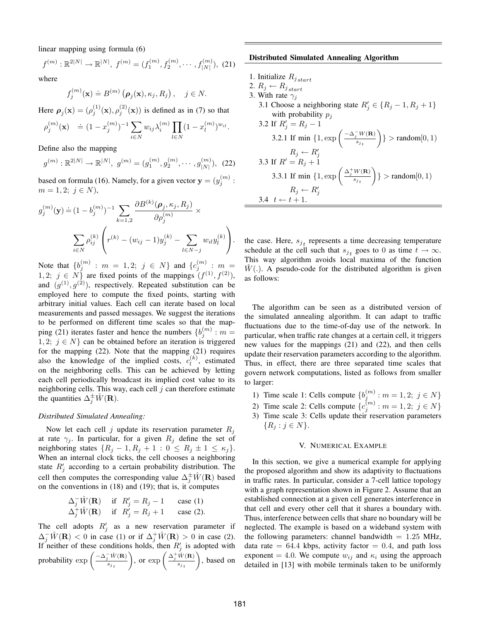linear mapping using formula (6)

$$
f^{(m)} : \mathbb{R}^{2|N|} \to \mathbb{R}^{|N|}, f^{(m)} = (f_1^{(m)}, f_2^{(m)}, \cdots, f_{|N|}^{(m)}), (21)
$$

where

$$
f_j^{(m)}(\mathbf{x}) \doteq B^{(m)}\left(\boldsymbol{\rho}_j(\mathbf{x}), \kappa_j, R_j\right), \quad j \in N.
$$

Here  $\rho_j(\mathbf{x}) = (\rho_j^{(1)}(\mathbf{x}), \rho_j^{(2)}(\mathbf{x}))$  is defined as in (7) so that

$$
\rho_j^{(m)}(\mathbf{x}) \quad \doteq (1 - x_j^{(m)})^{-1} \sum_{i \in N} w_{ij} \lambda_i^{(m)} \prod_{l \in N} (1 - x_l^{(m)})^{w_{il}}.
$$

Define also the mapping

$$
g^{(m)}: \mathbb{R}^{2|N|} \to \mathbb{R}^{|N|}, \ g^{(m)} = (g_1^{(m)}, g_2^{(m)}, \cdots, g_{|N|}^{(m)}), \tag{22}
$$

based on formula (16). Namely, for a given vector  $\mathbf{y} = (y_j^{(m)} :$  $m = 1, 2; j \in N$ ),

$$
g_j^{(m)}(\mathbf{y}) \doteq (1 - b_j^{(m)})^{-1} \sum_{k=1,2} \frac{\partial B^{(k)}(\rho_j, \kappa_j, R_j)}{\partial \rho_j^{(m)}} \times \sum_{i \in N} \rho_{ij}^{(k)} \left( r^{(k)} - (w_{ij} - 1) y_j^{(k)} - \sum_{l \in N-j} w_{il} y_l^{(k)} \right).
$$

Note that  $\{b_j^{(m)} : m = 1, 2; j \in N\}$  and  $\{c_j^{(m)} : m = 1, 2; j \in N\}$ 1, 2;  $j \in N$  are fixed points of the mappings  $(f^{(1)}, f^{(2)})$ , and  $(g^{(1)}, g^{(2)})$ , respectively. Repeated substitution can be employed here to compute the fixed points, starting with arbitrary initial values. Each cell can iterate based on local measurements and passed messages. We suggest the iterations to be performed on different time scales so that the mapping (21) iterates faster and hence the numbers  $\{b_j^{(m)} : m =$ 1, 2;  $j \in N$  can be obtained before an iteration is triggered for the mapping (22). Note that the mapping (21) requires also the knowledge of the implied costs,  $c_1^{(k)}$  $\binom{k}{l}$ , estimated on the neighboring cells. This can be achieved by letting each cell periodically broadcast its implied cost value to its neighboring cells. This way, each cell  $j$  can therefore estimate the quantities  $\Delta_j^{\pm} \hat{W}(\mathbf{R})$ .

### *Distributed Simulated Annealing:*

Now let each cell j update its reservation parameter  $R_i$ at rate  $\gamma_j$ . In particular, for a given  $R_j$  define the set of neighboring states  $\{R_j - 1, R_j + 1 : 0 \le R_j \pm 1 \le \kappa_j\}.$ When an internal clock ticks, the cell chooses a neighboring state  $R'_j$  according to a certain probability distribution. The cell then computes the corresponding value  $\Delta_j^{\pm} \hat{W}(\mathbf{R})$  based on the conventions in (18) and (19); that is, it computes

$$
\Delta_j^{-} \hat{W}(\mathbf{R}) \quad \text{if} \quad R'_j = R_j - 1 \quad \text{case (1)}
$$
  

$$
\Delta_j^{+} \hat{W}(\mathbf{R}) \quad \text{if} \quad R'_j = R_j + 1 \quad \text{case (2)}.
$$

The cell adopts  $R'_j$  as a new reservation parameter if  $\Delta_j^-\hat{W}(\mathbf{R})$  < 0 in case (1) or if  $\Delta_j^+\hat{W}(\mathbf{R}) > 0$  in case (2). If neither of these conditions holds, then  $R'_j$  is adopted with probability  $\exp\left(\frac{-\Delta_j^{-1}\hat{W}(\mathbf{R})}{s}\right)$  $s_j$ <sub>t</sub> ), or  $\exp\left(\frac{\Delta_j^+ \hat{W}(\mathbf{R})}{s} \right)$ s<sup>j</sup> <sup>t</sup> , based on

#### **Distributed Simulated Annealing Algorithm**

- 1. Initialize  $R_{j, start}$
- 2.  $R_j \leftarrow R_{j \, start}$

3.4  $t \leftarrow t + 1$ .

- 3. With rate  $\gamma_i$ 
	- 3.1 Choose a neighboring state  $R'_j \in \{R_j 1, R_j + 1\}$ with probability  $p_j$ 3.2 If  $R'_j = R_j - 1$

3.2.1 If 
$$
\min\left\{1, \exp\left(\frac{-\Delta_j^{-}W(\mathbf{R})}{s_{j_t}}\right)\right\} > \text{random}[0, 1)
$$

\n $R_j \leftarrow R'_j$ 

\n3.3 If  $R' = R_j + 1$ 

\n3.3.1 If  $\min\left\{1, \exp\left(\frac{\Delta_j^{+}W(\mathbf{R})}{s_{j_t}}\right)\right\} > \text{random}[0, 1)$ 

\n $R_j \leftarrow R'_j$ 

the case. Here,  $s_{j_t}$  represents a time decreasing temperature schedule at the cell such that  $s_{j_t}$  goes to 0 as time  $t \to \infty$ . This way algorithm avoids local maxima of the function  $W(.)$ . A pseudo-code for the distributed algorithm is given as follows:

The algorithm can be seen as a distributed version of the simulated annealing algorithm. It can adapt to traffic fluctuations due to the time-of-day use of the network. In particular, when traffic rate changes at a certain cell, it triggers new values for the mappings (21) and (22), and then cells update their reservation parameters according to the algorithm. Thus, in effect, there are three separated time scales that govern network computations, listed as follows from smaller to larger:

- 1) Time scale 1: Cells compute  $\{b_j^{(m)} : m = 1, 2; j \in N\}$
- 2) Time scale 2: Cells compute  $\{c_j^{(m)} : m = 1, 2; j \in N\}$
- 3) Time scale 3: Cells update their reservation parameters  ${R_i : j \in N}.$

### V. NUMERICAL EXAMPLE

In this section, we give a numerical example for applying the proposed algorithm and show its adaptivity to fluctuations in traffic rates. In particular, consider a 7-cell lattice topology with a graph representation shown in Figure 2. Assume that an established connection at a given cell generates interference in that cell and every other cell that it shares a boundary with. Thus, interference between cells that share no boundary will be neglected. The example is based on a wideband system with the following parameters: channel bandwidth  $= 1.25$  MHz, data rate  $= 64.4$  kbps, activity factor  $= 0.4$ , and path loss exponent = 4.0. We compute  $w_{ij}$  and  $\kappa_i$  using the approach detailed in [13] with mobile terminals taken to be uniformly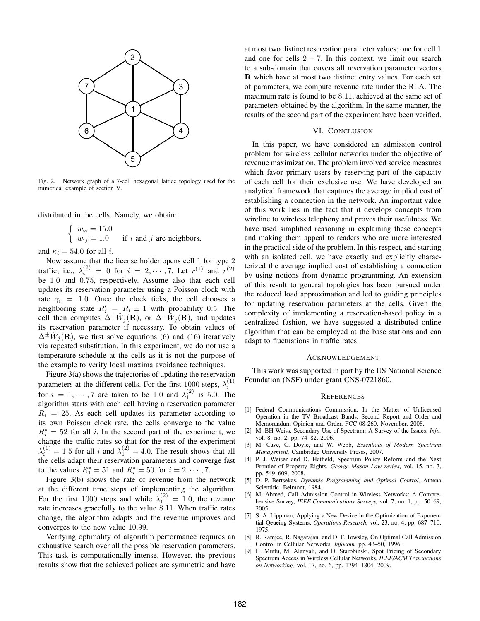

Fig. 2. Network graph of a 7-cell hexagonal lattice topology used for the numerical example of section V.

distributed in the cells. Namely, we obtain:

$$
\begin{cases} w_{ii} = 15.0 \\ w_{ij} = 1.0 \end{cases}
$$
 if *i* and *j* are neighbors,

and  $\kappa_i = 54.0$  for all *i*.

Now assume that the license holder opens cell 1 for type 2 traffic; i.e.,  $\lambda_i^{(2)} = 0$  for  $i = 2, \dots, 7$ . Let  $r^{(1)}$  and  $r^{(2)}$ be 1.0 and 0.75, respectively. Assume also that each cell updates its reservation parameter using a Poisson clock with rate  $\gamma_i = 1.0$ . Once the clock ticks, the cell chooses a neighboring state  $R'_i = R_i \pm 1$  with probability 0.5. The cell then computes  $\Delta^+ \hat{W}_j(\mathbf{R})$ , or  $\Delta^- \hat{W}_j(\mathbf{R})$ , and updates its reservation parameter if necessary. To obtain values of  $\Delta^{\pm} \hat{W}_j(\mathbf{R})$ , we first solve equations (6) and (16) iteratively via repeated substitution. In this experiment, we do not use a temperature schedule at the cells as it is not the purpose of the example to verify local maxima avoidance techniques.

Figure 3(a) shows the trajectories of updating the reservation parameters at the different cells. For the first 1000 steps,  $\lambda_i^{(1)}$ for  $i = 1, \dots, 7$  are taken to be 1.0 and  $\lambda_1^{(2)}$  is 5.0. The algorithm starts with each cell having a reservation parameter  $R_i = 25$ . As each cell updates its parameter according to its own Poisson clock rate, the cells converge to the value  $R_i^* = 52$  for all i. In the second part of the experiment, we change the traffic rates so that for the rest of the experiment  $\lambda_i^{(1)} = 1.5$  for all i and  $\lambda_1^{(2)} = 4.0$ . The result shows that all the cells adapt their reservation parameters and converge fast to the values  $R_1^* = 51$  and  $R_i^* = 50$  for  $i = 2, \dots, 7$ .

Figure 3(b) shows the rate of revenue from the network at the different time steps of implementing the algorithm. For the first 1000 steps and while  $\lambda_1^{(2)} = 1.0$ , the revenue rate increases gracefully to the value 8.11. When traffic rates change, the algorithm adapts and the revenue improves and converges to the new value 10.99.

Verifying optimality of algorithm performance requires an exhaustive search over all the possible reservation parameters. This task is computationally intense. However, the previous results show that the achieved polices are symmetric and have at most two distinct reservation parameter values; one for cell 1 and one for cells  $2 - 7$ . In this context, we limit our search to a sub-domain that covers all reservation parameter vectors R which have at most two distinct entry values. For each set of parameters, we compute revenue rate under the RLA. The maximum rate is found to be 8.11, achieved at the same set of parameters obtained by the algorithm. In the same manner, the results of the second part of the experiment have been verified.

## VI. CONCLUSION

In this paper, we have considered an admission control problem for wireless cellular networks under the objective of revenue maximization. The problem involved service measures which favor primary users by reserving part of the capacity of each cell for their exclusive use. We have developed an analytical framework that captures the average implied cost of establishing a connection in the network. An important value of this work lies in the fact that it develops concepts from wireline to wireless telephony and proves their usefulness. We have used simplified reasoning in explaining these concepts and making them appeal to readers who are more interested in the practical side of the problem. In this respect, and starting with an isolated cell, we have exactly and explicitly characterized the average implied cost of establishing a connection by using notions from dynamic programming. An extension of this result to general topologies has been pursued under the reduced load approximation and led to guiding principles for updating reservation parameters at the cells. Given the complexity of implementing a reservation-based policy in a centralized fashion, we have suggested a distributed online algorithm that can be employed at the base stations and can adapt to fluctuations in traffic rates.

#### ACKNOWLEDGEMENT

This work was supported in part by the US National Science Foundation (NSF) under grant CNS-0721860.

#### **REFERENCES**

- [1] Federal Communications Commission, In the Matter of Unlicensed Operation in the TV Broadcast Bands, Second Report and Order and Memorandum Opinion and Order, FCC 08-260, November, 2008.
- [2] M. BH Weiss, Secondary Use of Spectrum: A Survey of the Issues, *Info,* vol. 8, no. 2, pp. 74–82, 2006.
- [3] M. Cave, C. Doyle, and W. Webb, *Essentials of Modern Spectrum Management,* Cambridge University Presss, 2007.
- [4] P. J. Weiser and D. Hatfield, Spectrum Policy Reform and the Next Frontier of Property Rights, *George Mason Law review,* vol. 15, no. 3, pp. 549–609, 2008.
- [5] D. P. Bertsekas, *Dynamic Programming and Optimal Control,* Athena Scientific, Belmont, 1984.
- [6] M. Ahmed, Call Admission Control in Wireless Networks: A Comprehensive Survey, *IEEE Communications Surveys,* vol. 7, no. 1, pp. 50–69, 2005.
- [7] S. A. Lippman, Applying a New Device in the Optimization of Exponential Qeueing Systems, *Operations Research,* vol. 23, no. 4, pp. 687–710, 1975.
- [8] R. Ramjee, R. Nagarajan, and D. F. Towsley, On Optimal Call Admission Control in Cellular Networks, *Infocom,* pp. 43–50, 1996.
- [9] H. Mutlu, M. Alanyali, and D. Starobinski, Spot Pricing of Secondary Spectrum Access in Wireless Cellular Networks, *IEEE/ACM Transactions on Networking,* vol. 17, no. 6, pp. 1794–1804, 2009.